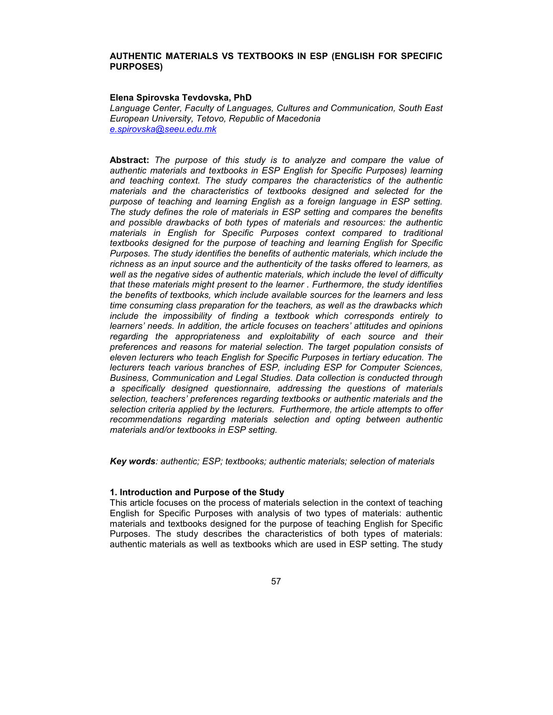## **AUTHENTIC MATERIALS VS TEXTBOOKS IN ESP (ENGLISH FOR SPECIFIC PURPOSES)**

#### **Elena Spirovska Tevdovska, PhD**

*Language Center, Faculty of Languages, Cultures and Communication, South East European University, Tetovo, Republic of Macedonia e.spirovska@seeu.edu.mk*

**Abstract:** *The purpose of this study is to analyze and compare the value of authentic materials and textbooks in ESP English for Specific Purposes) learning and teaching context. The study compares the characteristics of the authentic materials and the characteristics of textbooks designed and selected for the purpose of teaching and learning English as a foreign language in ESP setting. The study defines the role of materials in ESP setting and compares the benefits and possible drawbacks of both types of materials and resources: the authentic materials in English for Specific Purposes context compared to traditional textbooks designed for the purpose of teaching and learning English for Specific Purposes. The study identifies the benefits of authentic materials, which include the richness as an input source and the authenticity of the tasks offered to learners, as well as the negative sides of authentic materials, which include the level of difficulty that these materials might present to the learner . Furthermore, the study identifies the benefits of textbooks, which include available sources for the learners and less time consuming class preparation for the teachers, as well as the drawbacks which include the impossibility of finding a textbook which corresponds entirely to learners' needs. In addition, the article focuses on teachers' attitudes and opinions regarding the appropriateness and exploitability of each source and their preferences and reasons for material selection. The target population consists of eleven lecturers who teach English for Specific Purposes in tertiary education. The lecturers teach various branches of ESP, including ESP for Computer Sciences, Business, Communication and Legal Studies. Data collection is conducted through a specifically designed questionnaire, addressing the questions of materials selection, teachers' preferences regarding textbooks or authentic materials and the selection criteria applied by the lecturers. Furthermore, the article attempts to offer recommendations regarding materials selection and opting between authentic materials and/or textbooks in ESP setting.* 

*Key words: authentic; ESP; textbooks; authentic materials; selection of materials* 

### **1. Introduction and Purpose of the Study**

This article focuses on the process of materials selection in the context of teaching English for Specific Purposes with analysis of two types of materials: authentic materials and textbooks designed for the purpose of teaching English for Specific Purposes. The study describes the characteristics of both types of materials: authentic materials as well as textbooks which are used in ESP setting. The study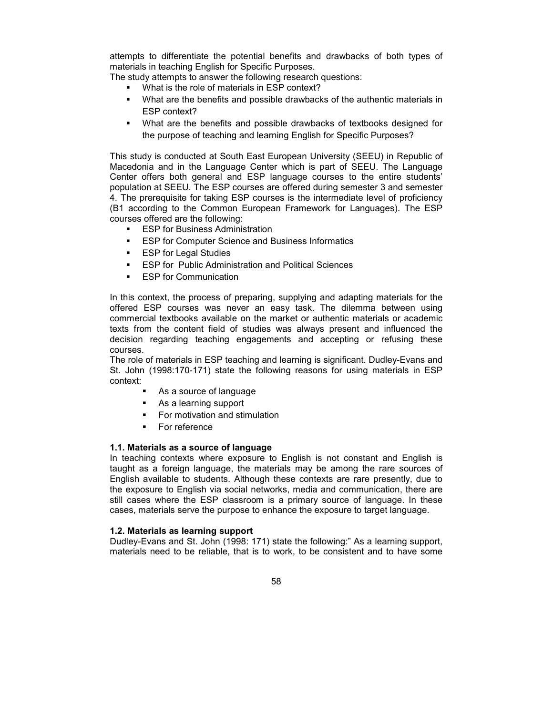attempts to differentiate the potential benefits and drawbacks of both types of materials in teaching English for Specific Purposes.

The study attempts to answer the following research questions:

- **What is the role of materials in ESP context?**
- What are the benefits and possible drawbacks of the authentic materials in ESP context?
- What are the benefits and possible drawbacks of textbooks designed for the purpose of teaching and learning English for Specific Purposes?

This study is conducted at South East European University (SEEU) in Republic of Macedonia and in the Language Center which is part of SEEU. The Language Center offers both general and ESP language courses to the entire students' population at SEEU. The ESP courses are offered during semester 3 and semester 4. The prerequisite for taking ESP courses is the intermediate level of proficiency (B1 according to the Common European Framework for Languages). The ESP courses offered are the following:

- **ESP for Business Administration**
- **ESP for Computer Science and Business Informatics**
- **ESP for Legal Studies**
- **ESP for Public Administration and Political Sciences**
- **ESP for Communication**

In this context, the process of preparing, supplying and adapting materials for the offered ESP courses was never an easy task. The dilemma between using commercial textbooks available on the market or authentic materials or academic texts from the content field of studies was always present and influenced the decision regarding teaching engagements and accepting or refusing these courses.

The role of materials in ESP teaching and learning is significant. Dudley-Evans and St. John (1998:170-171) state the following reasons for using materials in ESP context:

- As a source of language
- As a learning support
- **For motivation and stimulation**
- **For reference**

## **1.1. Materials as a source of language**

In teaching contexts where exposure to English is not constant and English is taught as a foreign language, the materials may be among the rare sources of English available to students. Although these contexts are rare presently, due to the exposure to English via social networks, media and communication, there are still cases where the ESP classroom is a primary source of language. In these cases, materials serve the purpose to enhance the exposure to target language.

## **1.2. Materials as learning support**

Dudley-Evans and St. John (1998: 171) state the following:" As a learning support, materials need to be reliable, that is to work, to be consistent and to have some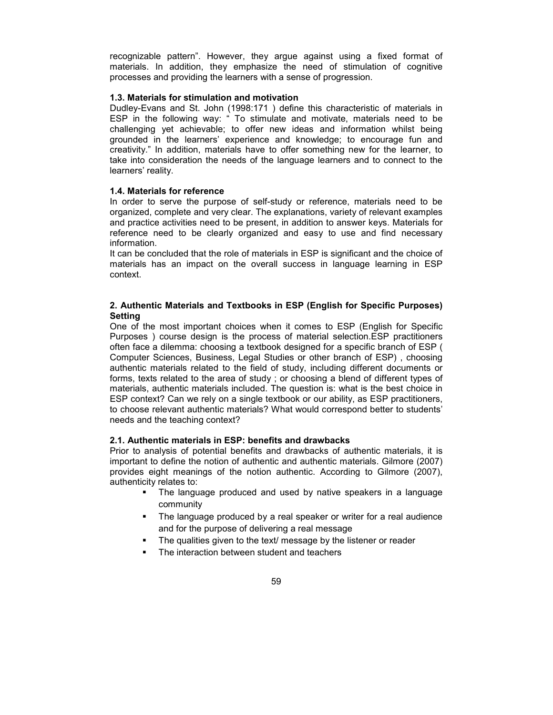recognizable pattern". However, they argue against using a fixed format of materials. In addition, they emphasize the need of stimulation of cognitive processes and providing the learners with a sense of progression.

## **1.3. Materials for stimulation and motivation**

Dudley-Evans and St. John (1998:171 ) define this characteristic of materials in ESP in the following way: " To stimulate and motivate, materials need to be challenging yet achievable; to offer new ideas and information whilst being grounded in the learners' experience and knowledge; to encourage fun and creativity." In addition, materials have to offer something new for the learner, to take into consideration the needs of the language learners and to connect to the learners' reality.

## **1.4. Materials for reference**

In order to serve the purpose of self-study or reference, materials need to be organized, complete and very clear. The explanations, variety of relevant examples and practice activities need to be present, in addition to answer keys. Materials for reference need to be clearly organized and easy to use and find necessary information.

It can be concluded that the role of materials in ESP is significant and the choice of materials has an impact on the overall success in language learning in ESP context.

# **2. Authentic Materials and Textbooks in ESP (English for Specific Purposes) Setting**

One of the most important choices when it comes to ESP (English for Specific Purposes ) course design is the process of material selection.ESP practitioners often face a dilemma: choosing a textbook designed for a specific branch of ESP ( Computer Sciences, Business, Legal Studies or other branch of ESP) , choosing authentic materials related to the field of study, including different documents or forms, texts related to the area of study ; or choosing a blend of different types of materials, authentic materials included. The question is: what is the best choice in ESP context? Can we rely on a single textbook or our ability, as ESP practitioners, to choose relevant authentic materials? What would correspond better to students' needs and the teaching context?

## **2.1. Authentic materials in ESP: benefits and drawbacks**

Prior to analysis of potential benefits and drawbacks of authentic materials, it is important to define the notion of authentic and authentic materials. Gilmore (2007) provides eight meanings of the notion authentic. According to Gilmore (2007), authenticity relates to:

- The language produced and used by native speakers in a language community
- The language produced by a real speaker or writer for a real audience and for the purpose of delivering a real message
- **The qualities given to the text/ message by the listener or reader**
- The interaction between student and teachers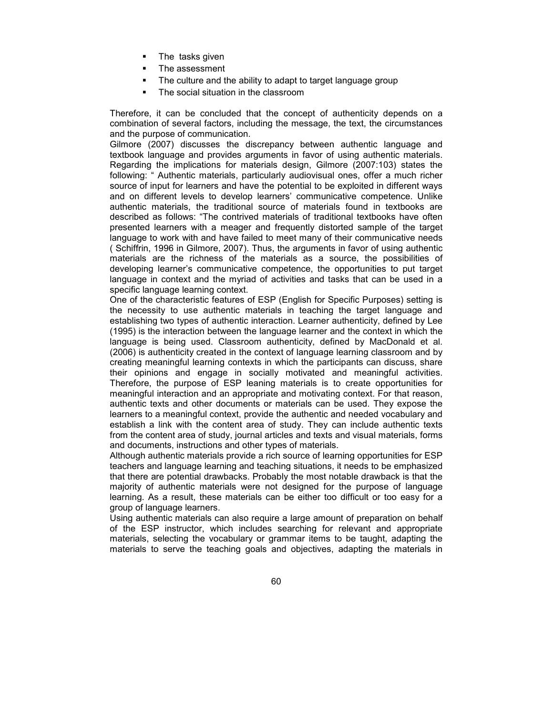- **The tasks given**
- **The assessment**
- The culture and the ability to adapt to target language group
- The social situation in the classroom

Therefore, it can be concluded that the concept of authenticity depends on a combination of several factors, including the message, the text, the circumstances and the purpose of communication.

Gilmore (2007) discusses the discrepancy between authentic language and textbook language and provides arguments in favor of using authentic materials. Regarding the implications for materials design, Gilmore (2007:103) states the following: " Authentic materials, particularly audiovisual ones, offer a much richer source of input for learners and have the potential to be exploited in different ways and on different levels to develop learners' communicative competence. Unlike authentic materials, the traditional source of materials found in textbooks are described as follows: "The contrived materials of traditional textbooks have often presented learners with a meager and frequently distorted sample of the target language to work with and have failed to meet many of their communicative needs ( Schiffrin, 1996 in Gilmore, 2007). Thus, the arguments in favor of using authentic materials are the richness of the materials as a source, the possibilities of developing learner's communicative competence, the opportunities to put target language in context and the myriad of activities and tasks that can be used in a specific language learning context.

One of the characteristic features of ESP (English for Specific Purposes) setting is the necessity to use authentic materials in teaching the target language and establishing two types of authentic interaction. Learner authenticity, defined by Lee (1995) is the interaction between the language learner and the context in which the language is being used. Classroom authenticity, defined by MacDonald et al. (2006) is authenticity created in the context of language learning classroom and by creating meaningful learning contexts in which the participants can discuss, share their opinions and engage in socially motivated and meaningful activities. Therefore, the purpose of ESP leaning materials is to create opportunities for meaningful interaction and an appropriate and motivating context. For that reason, authentic texts and other documents or materials can be used. They expose the learners to a meaningful context, provide the authentic and needed vocabulary and establish a link with the content area of study. They can include authentic texts from the content area of study, journal articles and texts and visual materials, forms and documents, instructions and other types of materials.

Although authentic materials provide a rich source of learning opportunities for ESP teachers and language learning and teaching situations, it needs to be emphasized that there are potential drawbacks. Probably the most notable drawback is that the majority of authentic materials were not designed for the purpose of language learning. As a result, these materials can be either too difficult or too easy for a group of language learners.

Using authentic materials can also require a large amount of preparation on behalf of the ESP instructor, which includes searching for relevant and appropriate materials, selecting the vocabulary or grammar items to be taught, adapting the materials to serve the teaching goals and objectives, adapting the materials in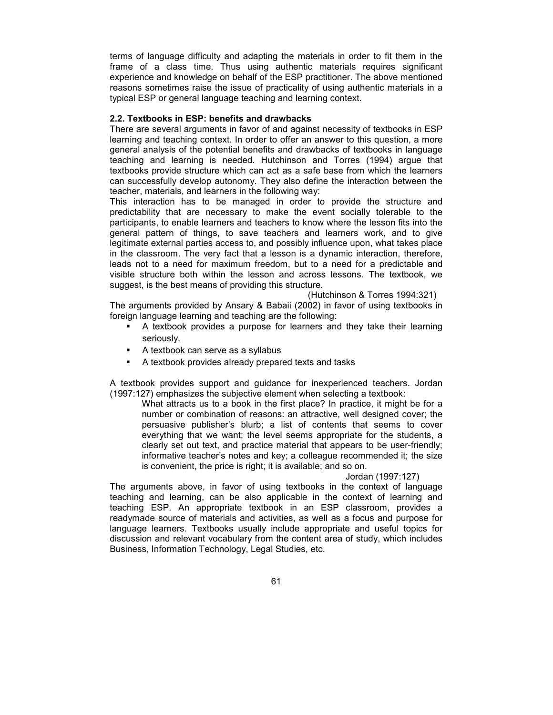terms of language difficulty and adapting the materials in order to fit them in the frame of a class time. Thus using authentic materials requires significant experience and knowledge on behalf of the ESP practitioner. The above mentioned reasons sometimes raise the issue of practicality of using authentic materials in a typical ESP or general language teaching and learning context.

## **2.2. Textbooks in ESP: benefits and drawbacks**

There are several arguments in favor of and against necessity of textbooks in ESP learning and teaching context. In order to offer an answer to this question, a more general analysis of the potential benefits and drawbacks of textbooks in language teaching and learning is needed. Hutchinson and Torres (1994) argue that textbooks provide structure which can act as a safe base from which the learners can successfully develop autonomy. They also define the interaction between the teacher, materials, and learners in the following way:

This interaction has to be managed in order to provide the structure and predictability that are necessary to make the event socially tolerable to the participants, to enable learners and teachers to know where the lesson fits into the general pattern of things, to save teachers and learners work, and to give legitimate external parties access to, and possibly influence upon, what takes place in the classroom. The very fact that a lesson is a dynamic interaction, therefore, leads not to a need for maximum freedom, but to a need for a predictable and visible structure both within the lesson and across lessons. The textbook, we suggest, is the best means of providing this structure.

(Hutchinson & Torres 1994:321)

The arguments provided by Ansary & Babaii (2002) in favor of using textbooks in foreign language learning and teaching are the following:

- A textbook provides a purpose for learners and they take their learning seriously.
- A textbook can serve as a syllabus
- A textbook provides already prepared texts and tasks

A textbook provides support and guidance for inexperienced teachers. Jordan (1997:127) emphasizes the subjective element when selecting a textbook:

What attracts us to a book in the first place? In practice, it might be for a number or combination of reasons: an attractive, well designed cover; the persuasive publisher's blurb; a list of contents that seems to cover everything that we want; the level seems appropriate for the students, a clearly set out text, and practice material that appears to be user-friendly; informative teacher's notes and key; a colleague recommended it; the size is convenient, the price is right; it is available; and so on.

### Jordan (1997:127)

The arguments above, in favor of using textbooks in the context of language teaching and learning, can be also applicable in the context of learning and teaching ESP. An appropriate textbook in an ESP classroom, provides a readymade source of materials and activities, as well as a focus and purpose for language learners. Textbooks usually include appropriate and useful topics for discussion and relevant vocabulary from the content area of study, which includes Business, Information Technology, Legal Studies, etc.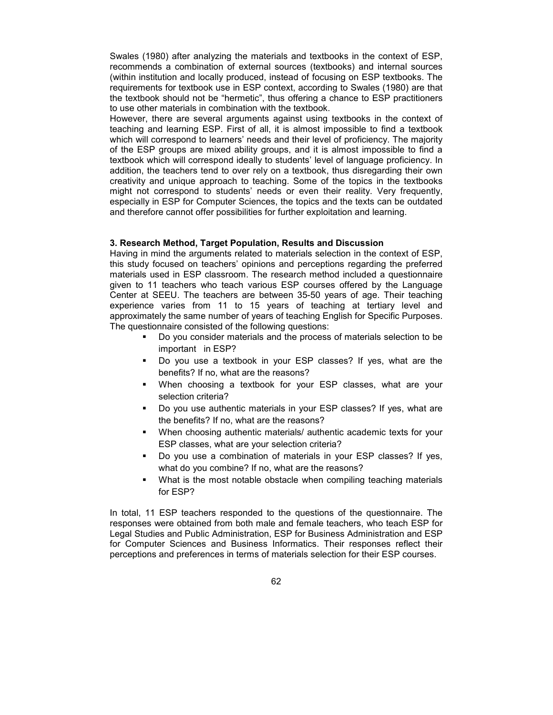Swales (1980) after analyzing the materials and textbooks in the context of ESP, recommends a combination of external sources (textbooks) and internal sources (within institution and locally produced, instead of focusing on ESP textbooks. The requirements for textbook use in ESP context, according to Swales (1980) are that the textbook should not be "hermetic", thus offering a chance to ESP practitioners to use other materials in combination with the textbook.

However, there are several arguments against using textbooks in the context of teaching and learning ESP. First of all, it is almost impossible to find a textbook which will correspond to learners' needs and their level of proficiency. The majority of the ESP groups are mixed ability groups, and it is almost impossible to find a textbook which will correspond ideally to students' level of language proficiency. In addition, the teachers tend to over rely on a textbook, thus disregarding their own creativity and unique approach to teaching. Some of the topics in the textbooks might not correspond to students' needs or even their reality. Very frequently, especially in ESP for Computer Sciences, the topics and the texts can be outdated and therefore cannot offer possibilities for further exploitation and learning.

## **3. Research Method, Target Population, Results and Discussion**

Having in mind the arguments related to materials selection in the context of ESP, this study focused on teachers' opinions and perceptions regarding the preferred materials used in ESP classroom. The research method included a questionnaire given to 11 teachers who teach various ESP courses offered by the Language Center at SEEU. The teachers are between 35-50 years of age. Their teaching experience varies from 11 to 15 years of teaching at tertiary level and approximately the same number of years of teaching English for Specific Purposes. The questionnaire consisted of the following questions:

- Do you consider materials and the process of materials selection to be important in ESP?
- Do you use a textbook in your ESP classes? If yes, what are the benefits? If no, what are the reasons?
- When choosing a textbook for your ESP classes, what are your selection criteria?
- Do you use authentic materials in your ESP classes? If yes, what are the benefits? If no, what are the reasons?
- **•** When choosing authentic materials/ authentic academic texts for your ESP classes, what are your selection criteria?
- Do you use a combination of materials in your ESP classes? If yes, what do you combine? If no, what are the reasons?
- What is the most notable obstacle when compiling teaching materials for ESP?

In total, 11 ESP teachers responded to the questions of the questionnaire. The responses were obtained from both male and female teachers, who teach ESP for Legal Studies and Public Administration, ESP for Business Administration and ESP for Computer Sciences and Business Informatics. Their responses reflect their perceptions and preferences in terms of materials selection for their ESP courses.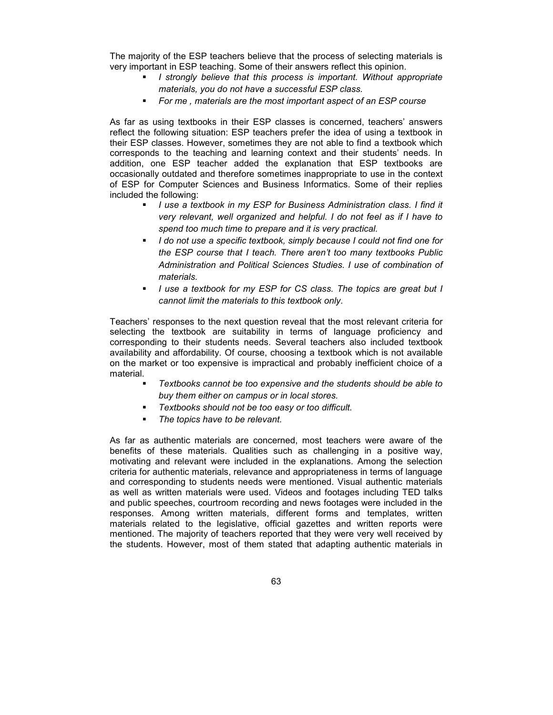The majority of the ESP teachers believe that the process of selecting materials is very important in ESP teaching. Some of their answers reflect this opinion.

- *I strongly believe that this process is important. Without appropriate materials, you do not have a successful ESP class.*
- *For me , materials are the most important aspect of an ESP course*

As far as using textbooks in their ESP classes is concerned, teachers' answers reflect the following situation: ESP teachers prefer the idea of using a textbook in their ESP classes. However, sometimes they are not able to find a textbook which corresponds to the teaching and learning context and their students' needs. In addition, one ESP teacher added the explanation that ESP textbooks are occasionally outdated and therefore sometimes inappropriate to use in the context of ESP for Computer Sciences and Business Informatics. Some of their replies included the following:

- *I use a textbook in my ESP for Business Administration class. I find it very relevant, well organized and helpful. I do not feel as if I have to spend too much time to prepare and it is very practical.*
- *I do not use a specific textbook, simply because I could not find one for the ESP course that I teach. There aren't too many textbooks Public Administration and Political Sciences Studies. I use of combination of materials.*
- *I use a textbook for my ESP for CS class. The topics are great but I cannot limit the materials to this textbook only.*

Teachers' responses to the next question reveal that the most relevant criteria for selecting the textbook are suitability in terms of language proficiency and corresponding to their students needs. Several teachers also included textbook availability and affordability. Of course, choosing a textbook which is not available on the market or too expensive is impractical and probably inefficient choice of a material.

- *Textbooks cannot be too expensive and the students should be able to buy them either on campus or in local stores.*
- *Textbooks should not be too easy or too difficult.*
- *The topics have to be relevant.*

As far as authentic materials are concerned, most teachers were aware of the benefits of these materials. Qualities such as challenging in a positive way, motivating and relevant were included in the explanations. Among the selection criteria for authentic materials, relevance and appropriateness in terms of language and corresponding to students needs were mentioned. Visual authentic materials as well as written materials were used. Videos and footages including TED talks and public speeches, courtroom recording and news footages were included in the responses. Among written materials, different forms and templates, written materials related to the legislative, official gazettes and written reports were mentioned. The majority of teachers reported that they were very well received by the students. However, most of them stated that adapting authentic materials in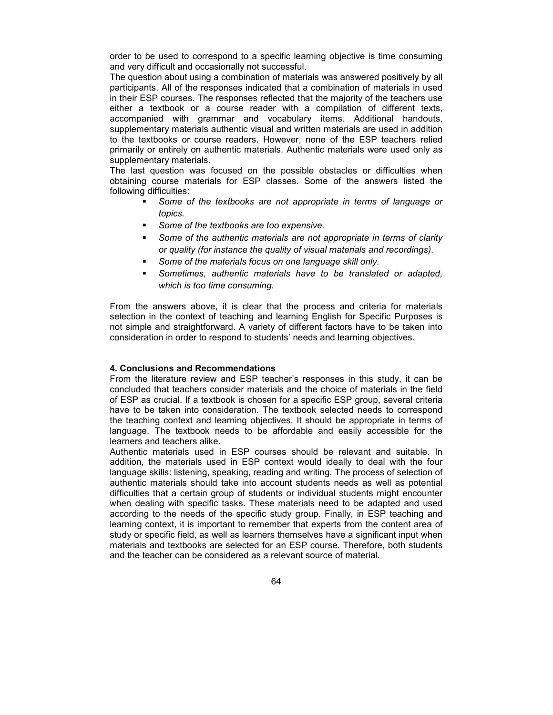order to be used to correspond to a specific learning objective is time consuming and very difficult and occasionally not successful.

The question about using a combination of materials was answered positively by all participants. All of the responses indicated that a combination of materials in used in their ESP courses. The responses reflected that the majority of the teachers use either a textbook or a course reader with a compilation of different texts, accompanied with grammar and vocabulary items. Additional handouts, supplementary materials authentic visual and written materials are used in addition to the textbooks or course readers. However, none of the ESP teachers relied primarily or entirely on authentic materials. Authentic materials were used only as supplementary materials.

The last question was focused on the possible obstacles or difficulties when obtaining course materials for ESP classes. Some of the answers listed the following difficulties:

- *Some of the textbooks are not appropriate in terms of language or topics.*
- *Some of the textbooks are too expensive.*
- *Some of the authentic materials are not appropriate in terms of clarity or quality (for instance the quality of visual materials and recordings).*
- *Some of the materials focus on one language skill only.*
- *Sometimes, authentic materials have to be translated or adapted, which is too time consuming.*

From the answers above, it is clear that the process and criteria for materials selection in the context of teaching and learning English for Specific Purposes is not simple and straightforward. A variety of different factors have to be taken into consideration in order to respond to students' needs and learning objectives.

## **4. Conclusions and Recommendations**

From the literature review and ESP teacher's responses in this study, it can be concluded that teachers consider materials and the choice of materials in the field of ESP as crucial. If a textbook is chosen for a specific ESP group, several criteria have to be taken into consideration. The textbook selected needs to correspond the teaching context and learning objectives. It should be appropriate in terms of language. The textbook needs to be affordable and easily accessible for the learners and teachers alike.

Authentic materials used in ESP courses should be relevant and suitable. In addition, the materials used in ESP context would ideally to deal with the four language skills: listening, speaking, reading and writing. The process of selection of authentic materials should take into account students needs as well as potential difficulties that a certain group of students or individual students might encounter when dealing with specific tasks. These materials need to be adapted and used according to the needs of the specific study group. Finally, in ESP teaching and learning context, it is important to remember that experts from the content area of study or specific field, as well as learners themselves have a significant input when materials and textbooks are selected for an ESP course. Therefore, both students and the teacher can be considered as a relevant source of material.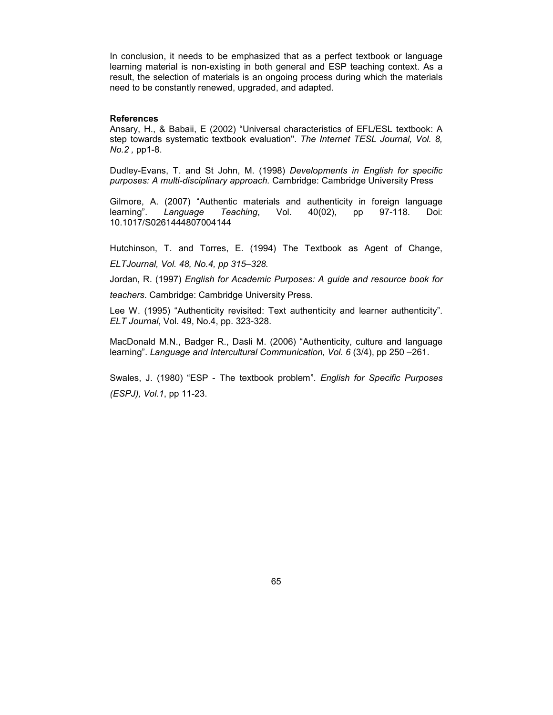In conclusion, it needs to be emphasized that as a perfect textbook or language learning material is non-existing in both general and ESP teaching context. As a result, the selection of materials is an ongoing process during which the materials need to be constantly renewed, upgraded, and adapted.

### **References**

Ansary, H., & Babaii, E (2002) "Universal characteristics of EFL/ESL textbook: A step towards systematic textbook evaluation". *The Internet TESL Journal, Vol. 8, No.2 ,* pp1-8.

Dudley-Evans, T. and St John, M. (1998) *Developments in English for specific purposes: A multi-disciplinary approach.* Cambridge: Cambridge University Press

Gilmore, A. (2007) "Authentic materials and authenticity in foreign language learning". *Language Teaching*, Vol. 40(02), pp 97-118. Doi: 10.1017/S0261444807004144

Hutchinson, T. and Torres, E. (1994) The Textbook as Agent of Change, *ELTJournal, Vol. 48, No.4, pp 315–328.*

Jordan, R. (1997) *English for Academic Purposes: A guide and resource book for* 

*teachers*. Cambridge: Cambridge University Press.

Lee W. (1995) "Authenticity revisited: Text authenticity and learner authenticity". *ELT Journal*, Vol. 49, No.4, pp. 323-328.

MacDonald M.N., Badger R., Dasli M. (2006) "Authenticity, culture and language learning". *Language and Intercultural Communication, Vol. 6* (3/4), pp 250 –261.

Swales, J. (1980) "ESP - The textbook problem". *English for Specific Purposes (ESPJ), Vol.1*, pp 11-23.